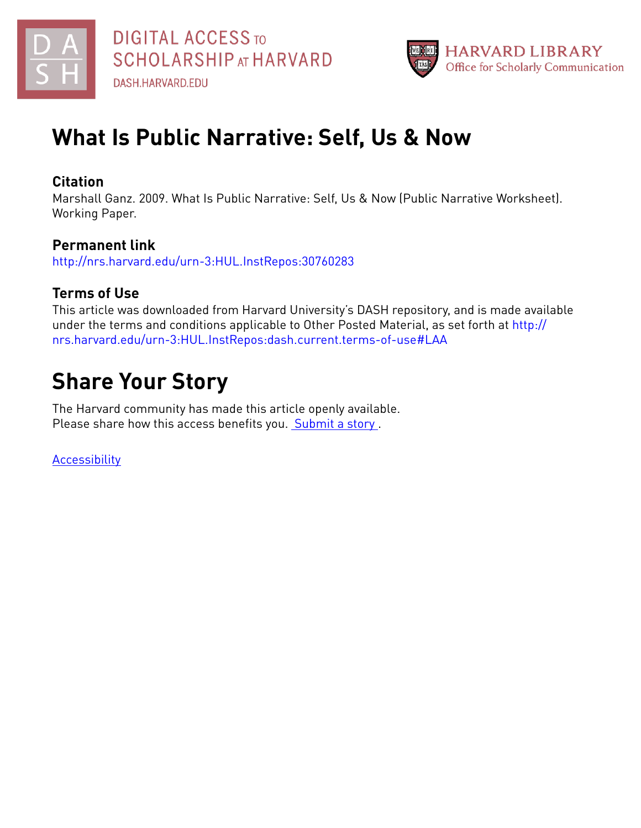



# **What Is Public Narrative: Self, Us & Now**

## **Citation**

Marshall Ganz. 2009. What Is Public Narrative: Self, Us & Now (Public Narrative Worksheet). Working Paper.

# **Permanent link**

<http://nrs.harvard.edu/urn-3:HUL.InstRepos:30760283>

## **Terms of Use**

This article was downloaded from Harvard University's DASH repository, and is made available under the terms and conditions applicable to Other Posted Material, as set forth at [http://](http://nrs.harvard.edu/urn-3:HUL.InstRepos:dash.current.terms-of-use#LAA) [nrs.harvard.edu/urn-3:HUL.InstRepos:dash.current.terms-of-use#LAA](http://nrs.harvard.edu/urn-3:HUL.InstRepos:dash.current.terms-of-use#LAA)

# **Share Your Story**

The Harvard community has made this article openly available. Please share how this access benefits you. [Submit](http://osc.hul.harvard.edu/dash/open-access-feedback?handle=&title=What%20Is%20Public%20Narrative:%20Self,%20Us%20&%20Now&community=1/3345933&collection=1/3345934&owningCollection1/3345934&harvardAuthors=edb27b2cac36346251e89be8a6eb5337&department) a story .

**[Accessibility](https://dash.harvard.edu/pages/accessibility)**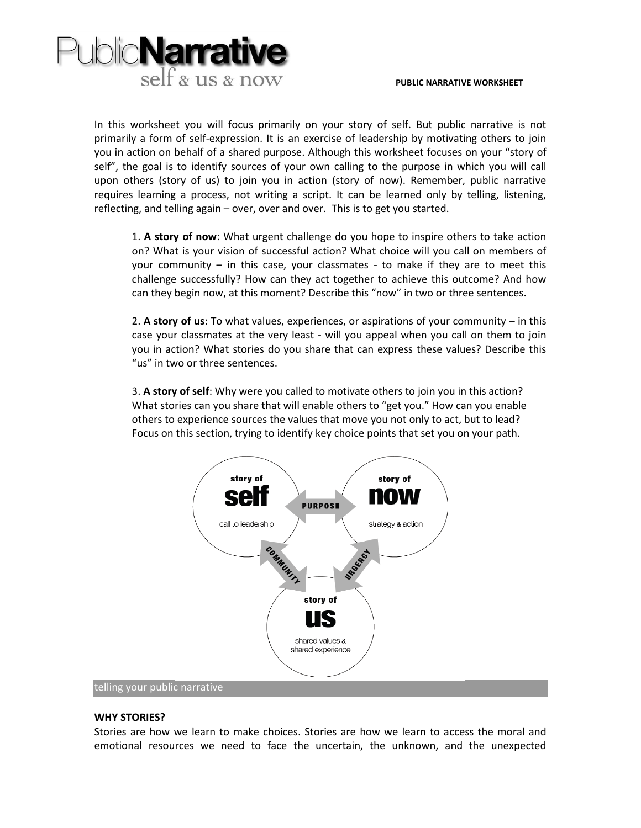

In this worksheet you will focus primarily on your story of self. But public narrative is not primarily a form of self-expression. It is an exercise of leadership by motivating others to join you in action on behalf of a shared purpose. Although this worksheet focuses on your "story of self", the goal is to identify sources of your own calling to the purpose in which you will call upon others (story of us) to join you in action (story of now). Remember, public narrative requires learning a process, not writing a script. It can be learned only by telling, listening, reflecting, and telling again – over, over and over. This is to get you started.

1. **A story of now**: What urgent challenge do you hope to inspire others to take action on? What is your vision of successful action? What choice will you call on members of your community – in this case, your classmates - to make if they are to meet this challenge successfully? How can they act together to achieve this outcome? And how can they begin now, at this moment? Describe this "now" in two or three sentences.

2. **A story of us**: To what values, experiences, or aspirations of your community – in this case your classmates at the very least ‐ will you appeal when you call on them to join you in action? What stories do you share that can express these values? Describe this "us" in two or three sentences.

3. **A story of self**: Why were you called to motivate others to join you in this action? What stories can you share that will enable others to "get you." How can you enable others to experience sources the values that move you not only to act, but to lead? Focus on this section, trying to identify key choice points that set you on your path.



#### **WHY STORIES?**

Stories are how we learn to make choices. Stories are how we learn to access the moral and emotional resources we need to face the uncertain, the unknown, and the unexpected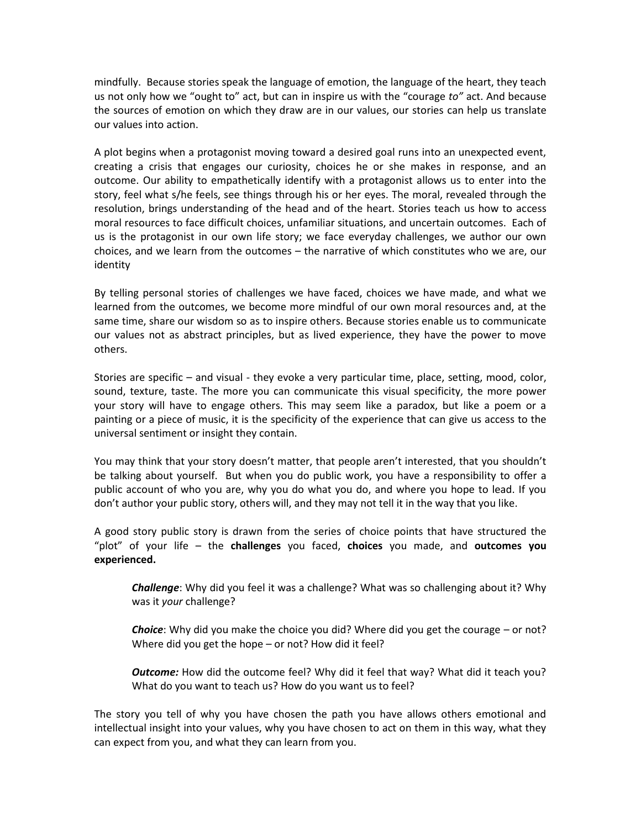mindfully. Because stories speak the language of emotion, the language of the heart, they teach us not only how we "ought to" act, but can in inspire us with the "courage *to"* act. And because the sources of emotion on which they draw are in our values, our stories can help us translate our values into action.

A plot begins when a protagonist moving toward a desired goal runs into an unexpected event, creating a crisis that engages our curiosity, choices he or she makes in response, and an outcome. Our ability to empathetically identify with a protagonist allows us to enter into the story, feel what s/he feels, see things through his or her eyes. The moral, revealed through the resolution, brings understanding of the head and of the heart. Stories teach us how to access moral resources to face difficult choices, unfamiliar situations, and uncertain outcomes. Each of us is the protagonist in our own life story; we face everyday challenges, we author our own choices, and we learn from the outcomes – the narrative of which constitutes who we are, our identity

By telling personal stories of challenges we have faced, choices we have made, and what we learned from the outcomes, we become more mindful of our own moral resources and, at the same time, share our wisdom so as to inspire others. Because stories enable us to communicate our values not as abstract principles, but as lived experience, they have the power to move others.

Stories are specific – and visual - they evoke a very particular time, place, setting, mood, color, sound, texture, taste. The more you can communicate this visual specificity, the more power your story will have to engage others. This may seem like a paradox, but like a poem or a painting or a piece of music, it is the specificity of the experience that can give us access to the universal sentiment or insight they contain.

You may think that your story doesn't matter, that people aren't interested, that you shouldn't be talking about yourself. But when you do public work, you have a responsibility to offer a public account of who you are, why you do what you do, and where you hope to lead. If you don't author your public story, others will, and they may not tell it in the way that you like.

A good story public story is drawn from the series of choice points that have structured the "plot" of your life – the **challenges** you faced, **choices** you made, and **outcomes you experienced.**

*Challenge*: Why did you feel it was a challenge? What was so challenging about it? Why was it *your* challenge?

*Choice*: Why did you make the choice you did? Where did you get the courage – or not? Where did you get the hope – or not? How did it feel?

*Outcome:* How did the outcome feel? Why did it feel that way? What did it teach you? What do you want to teach us? How do you want us to feel?

The story you tell of why you have chosen the path you have allows others emotional and intellectual insight into your values, why you have chosen to act on them in this way, what they can expect from you, and what they can learn from you.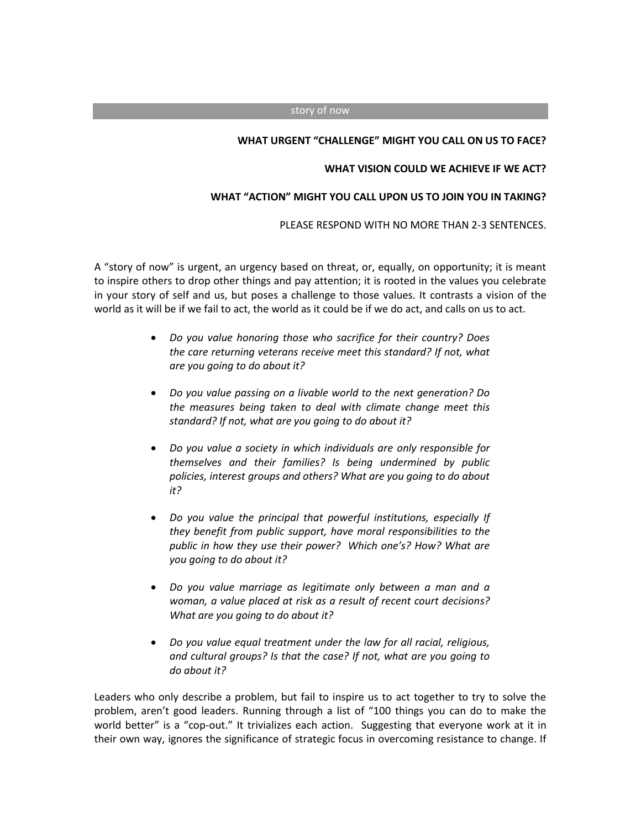#### story of now

#### **WHAT URGENT "CHALLENGE" MIGHT YOU CALL ON US TO FACE?**

#### **WHAT VISION COULD WE ACHIEVE IF WE ACT?**

#### **WHAT "ACTION" MIGHT YOU CALL UPON US TO JOIN YOU IN TAKING?**

PLEASE RESPOND WITH NO MORE THAN 2-3 SENTENCES.

A "story of now" is urgent, an urgency based on threat, or, equally, on opportunity; it is meant to inspire others to drop other things and pay attention; it is rooted in the values you celebrate in your story of self and us, but poses a challenge to those values. It contrasts a vision of the world as it will be if we fail to act, the world as it could be if we do act, and calls on us to act.

- *Do you value honoring those who sacrifice for their country? Does the care returning veterans receive meet this standard? If not, what are you going to do about it?*
- *Do you value passing on a livable world to the next generation? Do the measures being taken to deal with climate change meet this standard? If not, what are you going to do about it?*
- *Do you value a society in which individuals are only responsible for themselves and their families? Is being undermined by public policies, interest groups and others? What are you going to do about it?*
- *Do you value the principal that powerful institutions, especially If they benefit from public support, have moral responsibilities to the public in how they use their power? Which one's? How? What are you going to do about it?*
- *Do you value marriage as legitimate only between a man and a woman, a value placed at risk as a result of recent court decisions? What are you going to do about it?*
- *Do you value equal treatment under the law for all racial, religious, and cultural groups? Is that the case? If not, what are you going to do about it?*

Leaders who only describe a problem, but fail to inspire us to act together to try to solve the problem, aren't good leaders. Running through a list of "100 things you can do to make the world better" is a "cop-out." It trivializes each action. Suggesting that everyone work at it in their own way, ignores the significance of strategic focus in overcoming resistance to change. If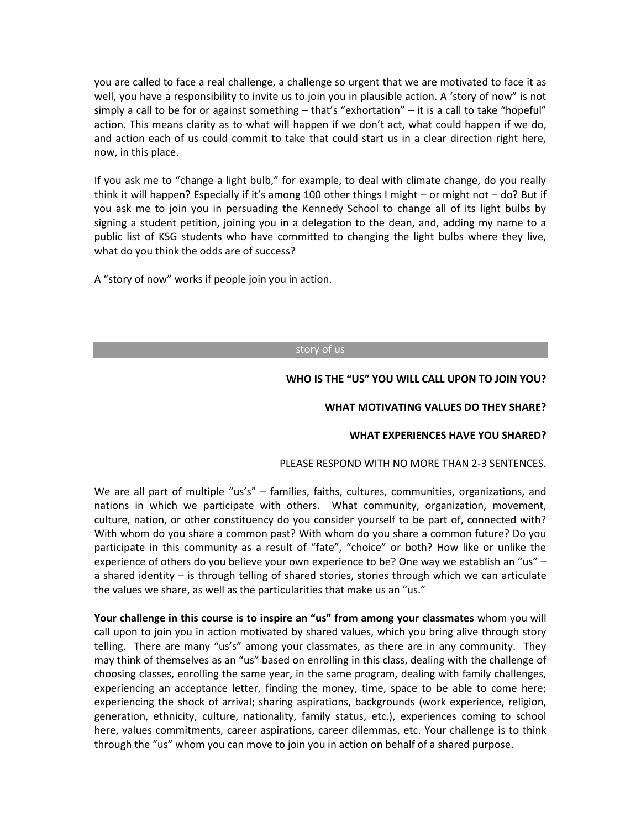you are called to face a real challenge, a challenge so urgent that we are motivated to face it as well, you have a responsibility to invite us to join you in plausible action. A 'story of now" is not simply a call to be for or against something – that's "exhortation" – it is a call to take "hopeful" action. This means clarity as to what will happen if we don't act, what could happen if we do, and action each of us could commit to take that could start us in a clear direction right here, now, in this place.

If you ask me to "change a light bulb," for example, to deal with climate change, do you really think it will happen? Especially if it's among 100 other things I might – or might not – do? But if you ask me to join you in persuading the Kennedy School to change all of its light bulbs by signing a student petition, joining you in a delegation to the dean, and, adding my name to a public list of KSG students who have committed to changing the light bulbs where they live, what do you think the odds are of success?

A "story of now" works if people join you in action.

#### story of us

## **WHO IS THE "US" YOU WILL CALL UPON TO JOIN YOU?**

#### **WHAT MOTIVATING VALUES DO THEY SHARE?**

### **WHAT EXPERIENCES HAVE YOU SHARED?**

### PLEASE RESPOND WITH NO MORE THAN 2-3 SENTENCES.

We are all part of multiple "us's" – families, faiths, cultures, communities, organizations, and nations in which we participate with others. What community, organization, movement, culture, nation, or other constituency do you consider yourself to be part of, connected with? With whom do you share a common past? With whom do you share a common future? Do you participate in this community as a result of "fate", "choice" or both? How like or unlike the experience of others do you believe your own experience to be? One way we establish an "us" – a shared identity – is through telling of shared stories, stories through which we can articulate the values we share, as well as the particularities that make us an "us."

**Your challenge in this course is to inspire an "us" from among your classmates** whom you will call upon to join you in action motivated by shared values, which you bring alive through story telling. There are many "us's" among your classmates, as there are in any community. They may think of themselves as an "us" based on enrolling in this class, dealing with the challenge of choosing classes, enrolling the same year, in the same program, dealing with family challenges, experiencing an acceptance letter, finding the money, time, space to be able to come here; experiencing the shock of arrival; sharing aspirations, backgrounds (work experience, religion, generation, ethnicity, culture, nationality, family status, etc.), experiences coming to school here, values commitments, career aspirations, career dilemmas, etc. Your challenge is to think through the "us" whom you can move to join you in action on behalf of a shared purpose.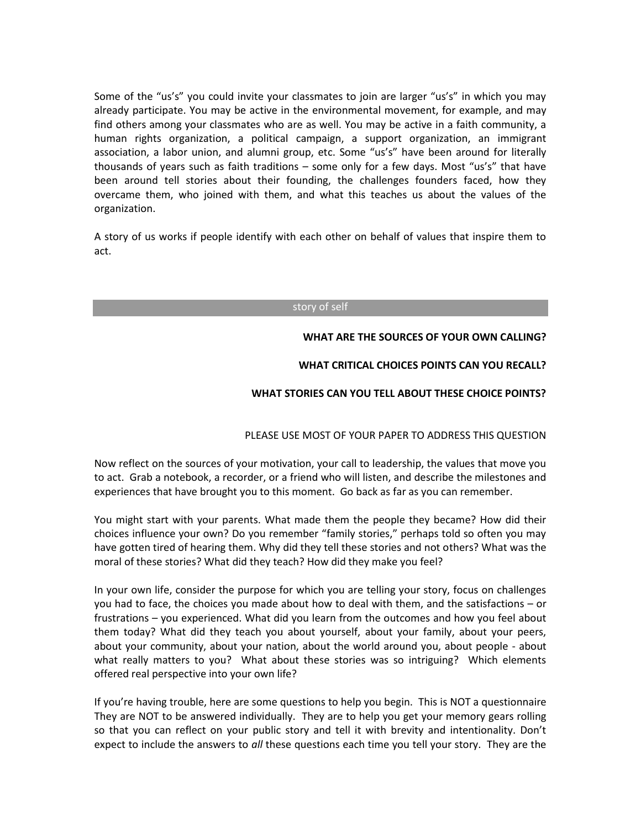Some of the "us's" you could invite your classmates to join are larger "us's" in which you may already participate. You may be active in the environmental movement, for example, and may find others among your classmates who are as well. You may be active in a faith community, a human rights organization, a political campaign, a support organization, an immigrant association, a labor union, and alumni group, etc. Some "us's" have been around for literally thousands of years such as faith traditions – some only for a few days. Most "us's" that have been around tell stories about their founding, the challenges founders faced, how they overcame them, who joined with them, and what this teaches us about the values of the organization.

A story of us works if people identify with each other on behalf of values that inspire them to act.

#### story of self

#### **WHAT ARE THE SOURCES OF YOUR OWN CALLING?**

### **WHAT CRITICAL CHOICES POINTS CAN YOU RECALL?**

### **WHAT STORIES CAN YOU TELL ABOUT THESE CHOICE POINTS?**

### PLEASE USE MOST OF YOUR PAPER TO ADDRESS THIS QUESTION

Now reflect on the sources of your motivation, your call to leadership, the values that move you to act. Grab a notebook, a recorder, or a friend who will listen, and describe the milestones and experiences that have brought you to this moment. Go back as far as you can remember.

You might start with your parents. What made them the people they became? How did their choices influence your own? Do you remember "family stories," perhaps told so often you may have gotten tired of hearing them. Why did they tell these stories and not others? What was the moral of these stories? What did they teach? How did they make you feel?

In your own life, consider the purpose for which you are telling your story, focus on challenges you had to face, the choices you made about how to deal with them, and the satisfactions – or frustrations – you experienced. What did you learn from the outcomes and how you feel about them today? What did they teach you about yourself, about your family, about your peers, about your community, about your nation, about the world around you, about people - about what really matters to you? What about these stories was so intriguing? Which elements offered real perspective into your own life?

If you're having trouble, here are some questions to help you begin. This is NOT a questionnaire They are NOT to be answered individually. They are to help you get your memory gears rolling so that you can reflect on your public story and tell it with brevity and intentionality. Don't expect to include the answers to *all* these questions each time you tell your story. They are the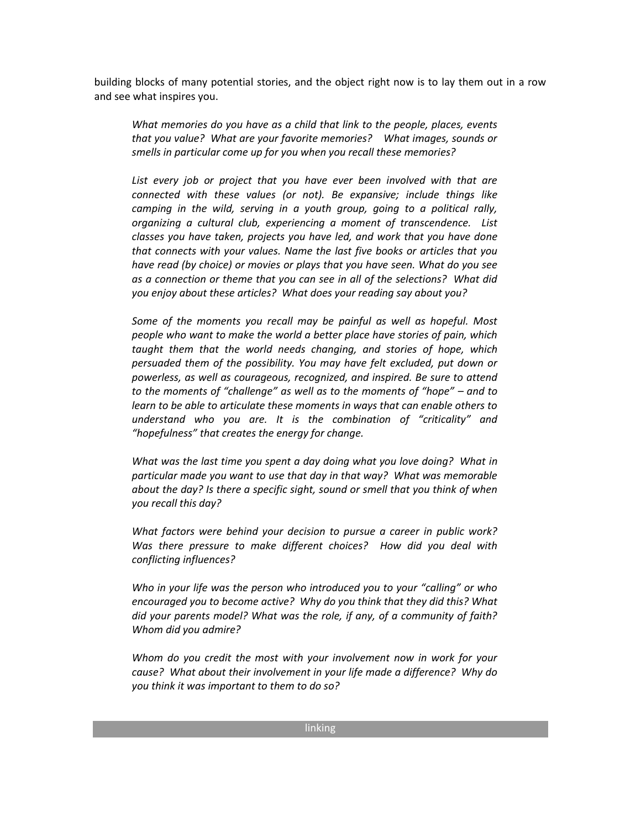building blocks of many potential stories, and the object right now is to lay them out in a row and see what inspires you.

*What memories do you have as a child that link to the people, places, events that you value? What are your favorite memories? What images, sounds or smells in particular come up for you when you recall these memories?*

*List every job or project that you have ever been involved with that are connected with these values (or not). Be expansive; include things like camping in the wild, serving in a youth group, going to a political rally, organizing a cultural club, experiencing a moment of transcendence. List classes you have taken, projects you have led, and work that you have done that connects with your values. Name the last five books or articles that you have read (by choice) or movies or plays that you have seen. What do you see as a connection or theme that you can see in all of the selections? What did you enjoy about these articles? What does your reading say about you?*

*Some of the moments you recall may be painful as well as hopeful. Most people who want to make the world a better place have stories of pain, which taught them that the world needs changing, and stories of hope, which persuaded them of the possibility. You may have felt excluded, put down or powerless, as well as courageous, recognized, and inspired. Be sure to attend to the moments of "challenge" as well as to the moments of "hope" – and to learn to be able to articulate these moments in ways that can enable others to understand who you are. It is the combination of "criticality" and "hopefulness" that creates the energy for change.* 

*What was the last time you spent a day doing what you love doing? What in particular made you want to use that day in that way? What was memorable about the day? Is there a specific sight, sound or smell that you think of when you recall this day?*

*What factors were behind your decision to pursue a career in public work? Was there pressure to make different choices? How did you deal with conflicting influences?*

*Who in your life was the person who introduced you to your "calling" or who encouraged you to become active? Why do you think that they did this? What did your parents model? What was the role, if any, of a community of faith? Whom did you admire?*

*Whom do you credit the most with your involvement now in work for your cause? What about their involvement in your life made a difference? Why do you think it was important to them to do so?*